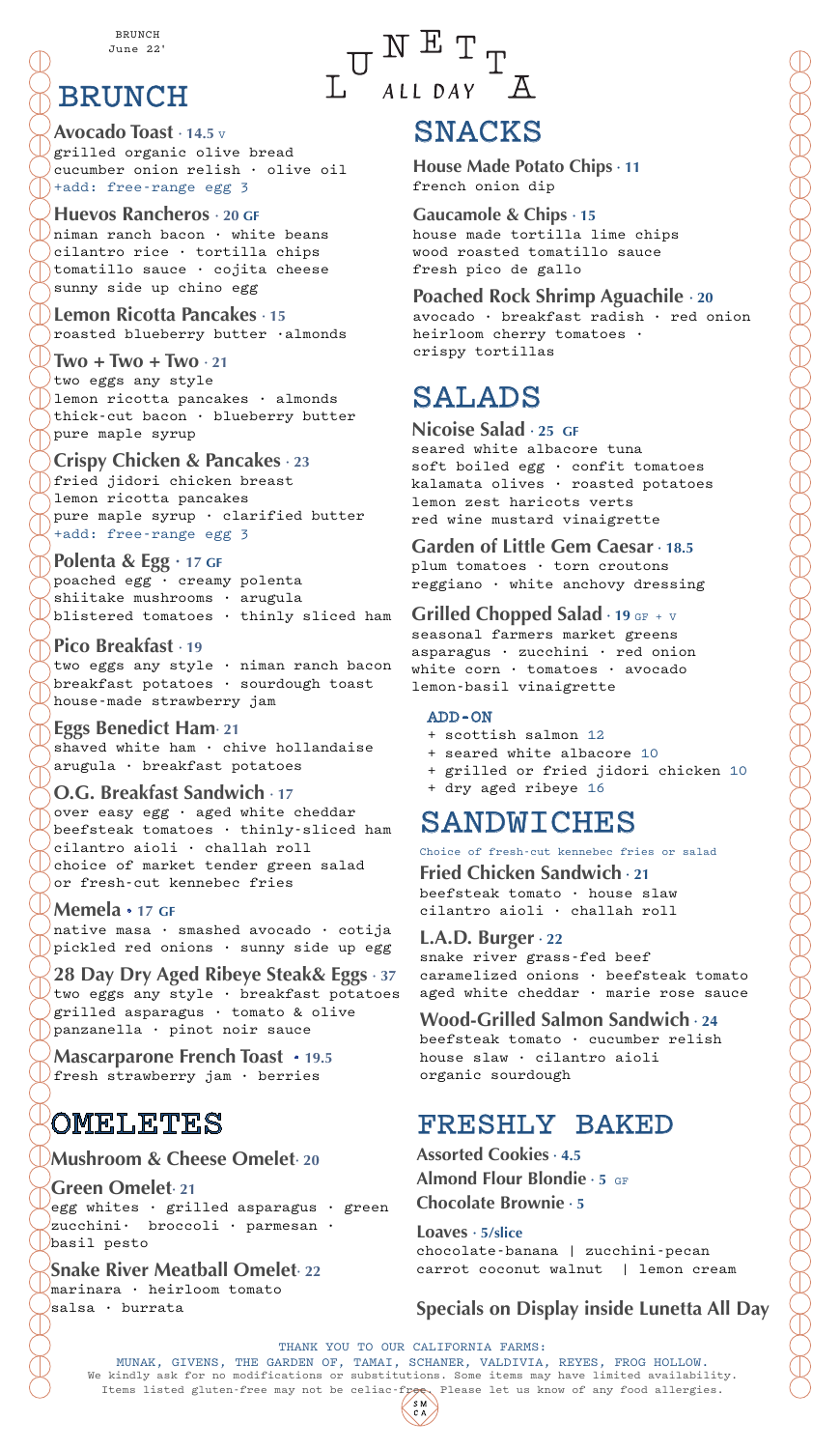BRUNCH June 22'

# BRUNCH

**Avocado Toast · 14.5** <sup>V</sup> grilled organic olive bread cucumber onion relish · olive oil +add: free-range egg 3

#### **Huevos Rancheros · 20 GF**  $\sqrt{n}$ iman ranch bacon  $\cdot$  white beans cilantro rice · tortilla chips tomatillo sauce · cojita cheese sunny side up chino egg

**Lemon Ricotta Pancakes · 15** roasted blueberry butter ·almonds

**Two + Two + Two · 21** two eggs any style ) lemon ricotta pancakes  $\cdot$  almonds thick-cut bacon · blueberry butter pure maple syrup

### **Crispy Chicken & Pancakes · 23**

fried jidori chicken breast lemon ricotta pancakes pure maple syrup  $\cdot$  clarified butter +add: free-range egg 3

**Polenta & Egg · 17 GF** poached egg · creamy polenta

shiitake mushrooms · arugula blistered tomatoes · thinly sliced ham

### **Pico Breakfast · 19**

two eggs any style · niman ranch bacon breakfast potatoes · sourdough toast house-made strawberry jam

### **Eggs Benedict Ham· 21**

shaved white ham  $\cdot$  chive hollandaise arugula · breakfast potatoes

### **O.G. Breakfast Sandwich · 17**

over easy egg · aged white cheddar beefsteak tomatoes · thinly-sliced ham cilantro aioli · challah roll  $\sqrt{a}$ choice of market tender green salad or fresh-cut kennebec fries

### **Memela · 17 GF**

native masa · smashed avocado · cotija pickled red onions · sunny side up egg

**28 Day Dry Aged Ribeye Steak& Eggs · 37** two eggs any style · breakfast potatoes grilled asparagus · tomato & olive panzanella · pinot noir sauce

**Mascarparone French Toast · 19.5** fresh strawberry jam · berries

# OMELETES

## **Mushroom & Cheese Omelet· 20**

**Green Omelet· 21** egg whites  $\cdot$  grilled asparagus  $\cdot$  green zucchini· broccoli · parmesan · basil pesto

## **Snake River Meatball Omelet· 22**

marinara · heirloom tomato salsa · burrata

 $\begin{array}{lllll} &\textbf{W} & \textbf{E} & \textbf{T} \\ & \textbf{U} & \textbf{A}\textbf{I}\textbf{I} & \textbf{D}\textbf{A}\textbf{Y} & \textbf{A} \end{array}$ 

# SNACKS

**House Made Potato Chips · 11** french onion dip

**Gaucamole & Chips · 15** house made tortilla lime chips wood roasted tomatillo sauce fresh pico de gallo

### **Poached Rock Shrimp Aguachile · 20**

avocado · breakfast radish · red onion heirloom cherry tomatoes · crispy tortillas

# SALADS

#### **Nicoise Salad · 25 GF**

seared white albacore tuna soft boiled egg · confit tomatoes kalamata olives · roasted potatoes lemon zest haricots verts red wine mustard vinaigrette

**Garden of Little Gem Caesar · 18.5** plum tomatoes · torn croutons reggiano · white anchovy dressing

### **Grilled Chopped Salad · 19 GF + V**

seasonal farmers market greens asparagus · zucchini · red onion white corn · tomatoes · avocado lemon-basil vinaigrette

#### ADD-ON

- + scottish salmon 12
- + seared white albacore 10
- + grilled or fried jidori chicken 10
- + dry aged ribeye 16

# SANDWICHES

Choice of fresh-cut kennebec fries or salad

**Fried Chicken Sandwich · 21** beefsteak tomato · house slaw cilantro aioli · challah roll

### **L.A.D. Burger · 22**

snake river grass-fed beef caramelized onions · beefsteak tomato aged white cheddar · marie rose sauce

### **Wood-Grilled Salmon Sandwich · 24**

beefsteak tomato · cucumber relish house slaw · cilantro aioli organic sourdough

# FRESHLY BAKED

**Assorted Cookies · 4.5 Almond Flour Blondie · 5** GF **Chocolate Brownie · 5**

**Loaves · 5/slice** chocolate-banana | zucchini-pecan carrot coconut walnut | lemon cream

## **Specials on Display inside Lunetta All Day**

THANK YOU TO OUR CALIFORNIA FARMS: MUNAK, GIVENS, THE GARDEN OF, TAMAI, SCHANER, VALDIVIA, REYES, FROG HOLLOW.<br>We kindly ask for no modifications or substitutions. Some items may have limited availability. Items listed gluten-free may not be celiac-free. Please let us know of any food allergies.  $S \nN$ <br> $C \nA$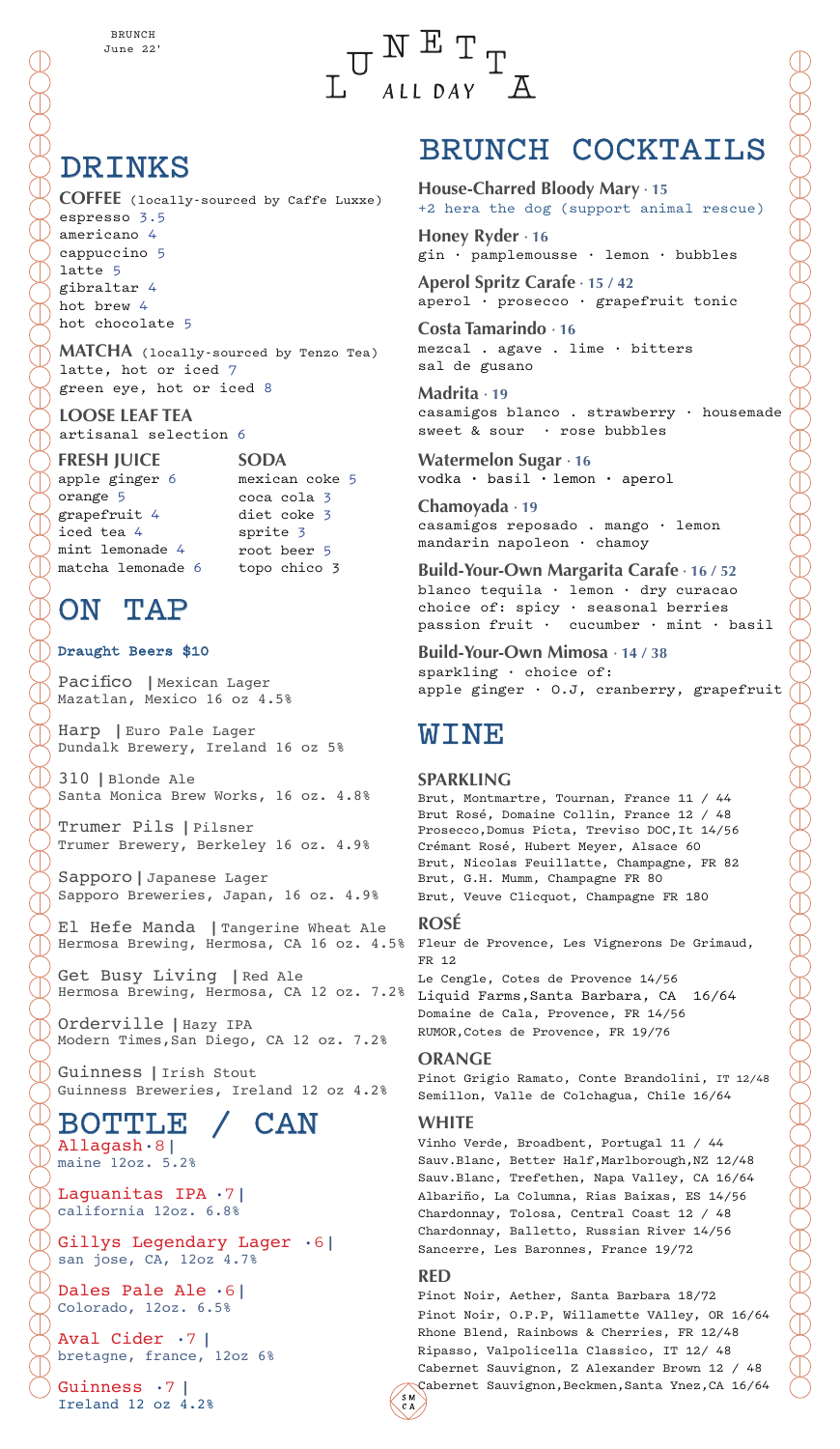

# DRINKS

**COFFEE** (locally-sourced by Caffe Luxxe) espresso 3.5 americano 4 cappuccino 5 latte 5 gibraltar 4 hot brew 4 hot chocolate 5

**MATCHA** (locally-sourced by Tenzo Tea) latte, hot or iced 7 green eye, hot or iced 8

#### **LOOSE LEAF TEA** artisanal selection 6

**FRESH JUICE**

apple ginger 6 orange 5 grapefruit 4 iced tea 4 mint lemonade 4 matcha lemonade 6

**SODA** mexican coke 5 coca cola 3 diet coke 3 sprite 3 root beer 5 topo chico 3

# ON TAP

### Draught Beers \$10

Pacifico | Mexican Lager Mazatlan, Mexico 16 oz 4.5%

Harp | Euro Pale Lager Dundalk Brewery, Ireland 16 oz 5%

310 | Blonde Ale Santa Monica Brew Works, 16 oz. 4.8%

Trumer Pils | Pilsner Trumer Brewery, Berkeley 16 oz. 4.9%

Sapporo | Japanese Lager Sapporo Breweries, Japan, 16 oz. 4.9%

El Hefe Manda | Tangerine Wheat Ale Hermosa Brewing, Hermosa, CA 16 oz. 4.5%

Hermosa Brewing, Hermosa, CA 12 oz. 7.2% Liquid Farms,Santa Barbara, CA 16/64 Get Busy Living | Red Ale

Orderville | Hazy IPA Modern Times,San Diego, CA 12 oz. 7.2%

Guinness | Irish Stout Guinness Breweries, Ireland 12 oz 4.2%

### BOTTLE / CAN Allagash **·** 8︱

maine 12oz. 5.2%

Laquanitas IPA  $\cdot$  7<sup>1</sup> california 12oz. 6.8%

Gillys Legendary Lager  $\cdot 6$ | san jose, CA, 12oz 4.7%

Dales Pale Ale **·** 6<sup>1</sup> Colorado, 12oz. 6.5%

Aval Cider  $\cdot$  7 | bretagne, france, 12oz 6%

Guinness  $\cdot 7$  | Ireland 12 oz 4.2%

# BRUNCH COCKTAILS

**House-Charred Bloody Mary · 15** +2 hera the dog (support animal rescue)

**Honey Ryder · 16** gin · pamplemousse · lemon · bubbles

**Aperol Spritz Carafe · 15 / 42** aperol · prosecco · grapefruit tonic

**Costa Tamarindo · 16** mezcal . agave . lime · bitters sal de gusano

**Madrita · 19** casamigos blanco . strawberry · housemade sweet & sour · rose bubbles

**Watermelon Sugar · 16** vodka · basil · lemon · aperol

**Chamoyada · 19** casamigos reposado . mango · lemon mandarin napoleon · chamoy

**Build-Your-Own Margarita Carafe · 16 / 52** blanco tequila · lemon · dry curacao choice of: spicy · seasonal berries passion fruit · cucumber · mint · basil

**Build-Your-Own Mimosa · 14 / 38** sparkling · choice of: apple ginger · O.J, cranberry, grapefruit

# **WINE**

#### **SPARKLING**

Brut, Montmartre, Tournan, France 11 / 44 Brut Rosé, Domaine Collin, France 12 / 48 Prosecco,Domus Picta, Treviso DOC,It 14/56 Crémant Rosé, Hubert Meyer, Alsace 60 Brut, Nicolas Feuillatte, Champagne, FR 82 Brut, G.H. Mumm, Champagne FR 80 Brut, Veuve Clicquot, Champagne FR 180

#### **ROSÉ**

Fleur de Provence, Les Vignerons De Grimaud, FR 12

Le Cengle, Cotes de Provence 14/56 Domaine de Cala, Provence, FR 14/56 RUMOR,Cotes de Provence, FR 19/76

#### **ORANGE**

Pinot Grigio Ramato, Conte Brandolini, IT 12/48 Semillon, Valle de Colchagua, Chile 16/64

### **WHITE**

Vinho Verde, Broadbent, Portugal 11 / 44 Sauv.Blanc, Better Half,Marlborough,NZ 12/48 Sauv.Blanc, Trefethen, Napa Valley, CA 16/64 Albariño, La Columna, Rias Baixas, ES 14/56 Chardonnay, Tolosa, Central Coast 12 / 48 Chardonnay, Balletto, Russian River 14/56 Sancerre, Les Baronnes, France 19/72

#### **RED**

Pinot Noir, Aether, Santa Barbara 18/72 Pinot Noir, O.P.P, Willamette VAlley, OR 16/64 Rhone Blend, Rainbows & Cherries, FR 12/48 Ripasso, Valpolicella Classico, IT 12/ 48 Cabernet Sauvignon, Z Alexander Brown 12 / 48 Cabernet Sauvignon,Beckmen,Santa Ynez,CA 16/64